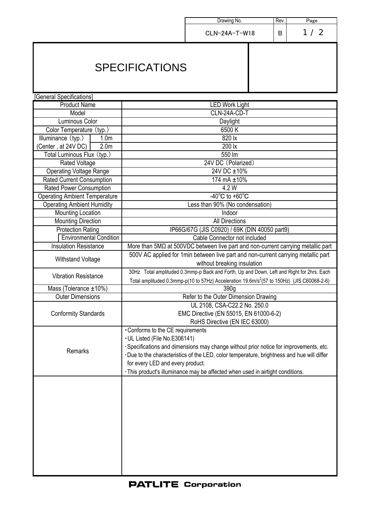|                                         |                                                                                                                                                                                                     | Drawing No.<br>Rev.<br>Page                                                               |   |     |
|-----------------------------------------|-----------------------------------------------------------------------------------------------------------------------------------------------------------------------------------------------------|-------------------------------------------------------------------------------------------|---|-----|
|                                         |                                                                                                                                                                                                     |                                                                                           |   |     |
|                                         |                                                                                                                                                                                                     | CLN-24A-T-W18                                                                             | в | 1/2 |
| <b>SPECIFICATIONS</b>                   |                                                                                                                                                                                                     |                                                                                           |   |     |
| [General Specifications]                |                                                                                                                                                                                                     |                                                                                           |   |     |
| <b>Product Name</b>                     | <b>LED Work Light</b>                                                                                                                                                                               |                                                                                           |   |     |
| Model                                   | CLN-24A-CD-T                                                                                                                                                                                        |                                                                                           |   |     |
| Luminous Color                          | Daylight                                                                                                                                                                                            |                                                                                           |   |     |
| Color Temperature (typ.)                | 6500 K                                                                                                                                                                                              |                                                                                           |   |     |
| Illuminance (typ.)<br>1.0 <sub>m</sub>  | 820 lx                                                                                                                                                                                              |                                                                                           |   |     |
| 2.0 <sub>m</sub><br>(Center, at 24V DC) | 200 lx                                                                                                                                                                                              |                                                                                           |   |     |
| Total Luminous Flux (typ.)              | 550 lm                                                                                                                                                                                              |                                                                                           |   |     |
| <b>Rated Voltage</b>                    | 24V DC (Polarized)                                                                                                                                                                                  |                                                                                           |   |     |
| <b>Operating Voltage Range</b>          | 24V DC ±10%                                                                                                                                                                                         |                                                                                           |   |     |
| <b>Rated Current Consumption</b>        | 174 mA ±10%                                                                                                                                                                                         |                                                                                           |   |     |
| <b>Rated Power Consumption</b>          | 4.2 W                                                                                                                                                                                               |                                                                                           |   |     |
| <b>Operating Ambient Temperature</b>    | -40 $^{\circ}$ C to +60 $^{\circ}$ C                                                                                                                                                                |                                                                                           |   |     |
| <b>Operating Ambient Humidity</b>       | Less than 90% (No condensation)                                                                                                                                                                     |                                                                                           |   |     |
| <b>Mounting Location</b>                | Indoor                                                                                                                                                                                              |                                                                                           |   |     |
| <b>Mounting Direction</b>               | <b>All Directions</b>                                                                                                                                                                               |                                                                                           |   |     |
| <b>Protection Rating</b>                | IP66G/67G (JIS C0920) / 69K (DIN 40050 part9)                                                                                                                                                       |                                                                                           |   |     |
| <b>Environmental Condition</b>          | Cable Connector not included                                                                                                                                                                        |                                                                                           |   |     |
| <b>Insulation Resistance</b>            | More than $5M\Omega$ at $500VDC$ between live part and non-current carrying metallic part                                                                                                           |                                                                                           |   |     |
| <b>Withstand Voltage</b>                | 500V AC applied for 1min between live part and non-current carrying metallic part<br>without breaking insulation                                                                                    |                                                                                           |   |     |
| <b>Vibration Resistance</b>             | 30Hz Total amplituded 0.3mmp-p Back and Forth, Up and Down, Left and Right for 2hrs. Each<br>Total amplituded 0.3mmp-p(10 to 57Hz) Acceleration 19.6m/s <sup>2</sup> (57 to 150Hz) (JIS C60068-2-6) |                                                                                           |   |     |
| Mass (Tolerance $\pm 10\%$ )            | 390 <sub>q</sub>                                                                                                                                                                                    |                                                                                           |   |     |
| <b>Outer Dimensions</b>                 | Refer to the Outer Dimension Drawing                                                                                                                                                                |                                                                                           |   |     |
| <b>Conformity Standards</b>             | UL 2108, CSA-C22.2 No. 250.0<br>EMC Directive (EN 55015, EN 61000-6-2)<br>RoHS Directive (EN IEC 63000)                                                                                             |                                                                                           |   |     |
|                                         | •Conforms to the CE requirements                                                                                                                                                                    |                                                                                           |   |     |
|                                         | • UL Listed (File No.E306141)                                                                                                                                                                       |                                                                                           |   |     |
| Remarks                                 |                                                                                                                                                                                                     | ·Specifications and dimensions may change without prior notice for improvements, etc.     |   |     |
|                                         |                                                                                                                                                                                                     | ·Due to the characteristics of the LED, color temperature, brightness and hue will differ |   |     |
|                                         | for every LED and every product.                                                                                                                                                                    |                                                                                           |   |     |
|                                         |                                                                                                                                                                                                     | · This product's illuminance may be affected when used in airtight conditions.            |   |     |
|                                         |                                                                                                                                                                                                     |                                                                                           |   |     |